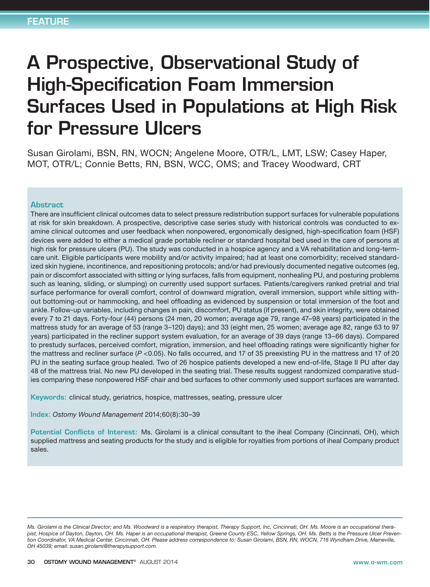# A Prospective, Observational Study of High-Specification Foam Immersion Surfaces Used in Populations at High Risk for Pressure Ulcers

Susan Girolami, BSN, RN, WOCN; Angelene Moore, OTR/L, LMT, LSW; Casey Haper, MOT, OTR/L; Connie Betts, RN, BSN, WCC, OMS; and Tracey Woodward, CRT

## **Abstract**

There are insufficient clinical outcomes data to select pressure redistribution support surfaces for vulnerable populations at risk for skin breakdown. A prospective, descriptive case series study with historical controls was conducted to examine clinical outcomes and user feedback when nonpowered, ergonomically designed, high-specification foam (HSF) devices were added to either a medical grade portable recliner or standard hospital bed used in the care of persons at high risk for pressure ulcers (PU). The study was conducted in a hospice agency and a VA rehabilitation and long-termcare unit. Eligible participants were mobility and/or activity impaired; had at least one comorbidity; received standardized skin hygiene, incontinence, and repositioning protocols; and/or had previously documented negative outcomes (eg, pain or discomfort associated with sitting or lying surfaces, falls from equipment, nonhealing PU, and posturing problems such as leaning, sliding, or slumping) on currently used support surfaces. Patients/caregivers ranked pretrial and trial surface performance for overall comfort, control of downward migration, overall immersion, support while sitting without bottoming-out or hammocking, and heel offloading as evidenced by suspension or total immersion of the foot and ankle. Follow-up variables, including changes in pain, discomfort, PU status (if present), and skin integrity, were obtained every 7 to 21 days. Forty-four (44) persons (24 men, 20 women; average age 79, range 47–98 years) participated in the mattress study for an average of 53 (range 3–120) days); and 33 (eight men, 25 women; average age 82, range 63 to 97 years) participated in the recliner support system evaluation, for an average of 39 days (range 13–66 days). Compared to prestudy surfaces, perceived comfort, migration, immersion, and heel offloading ratings were significantly higher for the mattress and recliner surface (*P* <0.05). No falls occurred, and 17 of 35 preexisting PU in the mattress and 17 of 20 PU in the seating surface group healed. Two of 26 hospice patients developed a new end-of-life, Stage II PU after day 48 of the mattress trial. No new PU developed in the seating trial. These results suggest randomized comparative studies comparing these nonpowered HSF chair and bed surfaces to other commonly used support surfaces are warranted.

Keywords: clinical study, geriatrics, hospice, mattresses, seating, pressure ulcer

Index: *Ostomy Wound Management* 2014;60(8):30–39

Potential Conflicts of Interest: Ms. Girolami is a clinical consultant to the iheal Company (Cincinnati, OH), which supplied mattress and seating products for the study and is eligible for royalties from portions of iheal Company product sales.

*Ms. Girolami is the Clinical Director; and Ms. Woodward is a respiratory therapist, Therapy Support, Inc, Cincinnati, OH. Ms. Moore is an occupational therapist, Hospice of Dayton, Dayton, OH. Ms. Haper is an occupational therapist, Greene County ESC, Yellow Springs, OH. Ms. Betts is the Pressure Ulcer Prevention Coordinator, VA Medical Center, Cincinnati, OH. Please address correspondence to: Susan Girolami, BSN, RN, WOCN, 716 Wyndham Drive, Maineville, OH 45039; email: susan.girolami@therapysupport.com.*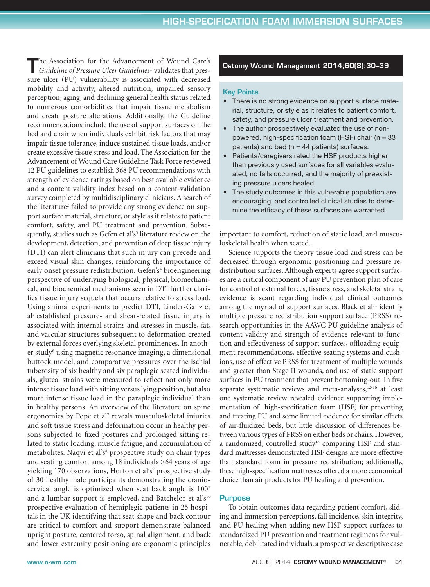The Association for the Advancement of Wound Care's *Guideline of Pressure Ulcer Guidelines<sup>1</sup>* validates that pressure ulcer (PU) vulnerability is associated with decreased mobility and activity, altered nutrition, impaired sensory perception, aging, and declining general health status related to numerous comorbidities that impair tissue metabolism and create posture alterations. Additionally, the Guideline recommendations include the use of support surfaces on the bed and chair when individuals exhibit risk factors that may impair tissue tolerance, induce sustained tissue loads, and/or create excessive tissue stress and load. The Association for the Advancement of Wound Care Guideline Task Force reviewed 12 PU guidelines to establish 368 PU recommendations with strength of evidence ratings based on best available evidence and a content validity index based on a content-validation survey completed by multidisciplinary clinicians. A search of the literature<sup>2</sup> failed to provide any strong evidence on support surface material, structure, or style as it relates to patient comfort, safety, and PU treatment and prevention. Subsequently, studies such as Gefen et al's<sup>3</sup> literature review on the development, detection, and prevention of deep tissue injury (DTI) can alert clinicians that such injury can precede and exceed visual skin changes, reinforcing the importance of early onset pressure redistribution. Gefen's<sup>4</sup> bioengineering perspective of underlying biological, physical, biomechanical, and biochemical mechanisms seen in DTI further clarifies tissue injury sequela that occurs relative to stress load. Using animal experiments to predict DTI, Linder-Ganz et al5 established pressure- and shear-related tissue injury is associated with internal strains and stresses in muscle, fat, and vascular structures subsequent to deformation created by external forces overlying skeletal prominences. In another study<sup>6</sup> using magnetic resonance imaging, a dimensional buttock model, and comparative pressures over the ischial tuberosity of six healthy and six paraplegic seated individuals, gluteal strains were measured to reflect not only more intense tissue load with sitting versus lying position, but also more intense tissue load in the paraplegic individual than in healthy persons. An overview of the literature on spine ergonomics by Pope et al<sup>7</sup> reveals musculoskeletal injuries and soft tissue stress and deformation occur in healthy persons subjected to fixed postures and prolonged sitting related to static loading, muscle fatigue, and accumulation of metabolites. Naqvi et al's<sup>8</sup> prospective study on chair types and seating comfort among 18 individuals >64 years of age yielding 170 observations, Horton et al's<sup>9</sup> prospective study of 30 healthy male participants demonstrating the craniocervical angle is optimized when seat back angle is 100˚ and a lumbar support is employed, and Batchelor et al's<sup>10</sup> prospective evaluation of hemiplegic patients in 25 hospitals in the UK identifying that seat shape and back contour are critical to comfort and support demonstrate balanced upright posture, centered torso, spinal alignment, and back and lower extremity positioning are ergonomic principles

### Ostomy Wound Management 2014;60(8):30–39

#### Key Points

- There is no strong evidence on support surface material, structure, or style as it relates to patient comfort, safety, and pressure ulcer treatment and prevention.
- The author prospectively evaluated the use of nonpowered, high-specification foam (HSF) chair (n = 33 patients) and bed ( $n = 44$  patients) surfaces.
- Patients/caregivers rated the HSF products higher than previously used surfaces for all variables evaluated, no falls occurred, and the majority of preexisting pressure ulcers healed.
- The study outcomes in this vulnerable population are encouraging, and controlled clinical studies to determine the efficacy of these surfaces are warranted.

important to comfort, reduction of static load, and musculoskeletal health when seated.

Science supports the theory tissue load and stress can be decreased through ergonomic positioning and pressure redistribution surfaces. Although experts agree support surfaces are a critical component of any PU prevention plan of care for control of external forces, tissue stress, and skeletal strain, evidence is scant regarding individual clinical outcomes among the myriad of support surfaces. Black et al<sup>11</sup> identify multiple pressure redistribution support surface (PRSS) research opportunities in the AAWC PU guideline analysis of content validity and strength of evidence relevant to function and effectiveness of support surfaces, offloading equipment recommendations, effective seating systems and cushions, use of effective PRSS for treatment of multiple wounds and greater than Stage II wounds, and use of static support surfaces in PU treatment that prevent bottoming-out. In five separate systematic reviews and meta-analyses,<sup>12-16</sup> at least one systematic review revealed evidence supporting implementation of high-specification foam (HSF) for preventing and treating PU and some limited evidence for similar effects of air-fluidized beds, but little discussion of differences between various types of PRSS on either beds or chairs. However, a randomized, controlled study<sup>16</sup> comparing HSF and standard mattresses demonstrated HSF designs are more effective than standard foam in pressure redistribution; additionally, these high-specification mattresses offered a more economical choice than air products for PU healing and prevention.

#### Purpose

To obtain outcomes data regarding patient comfort, sliding and immersion perceptions, fall incidence, skin integrity, and PU healing when adding new HSF support surfaces to standardized PU prevention and treatment regimens for vulnerable, debilitated individuals, a prospective descriptive case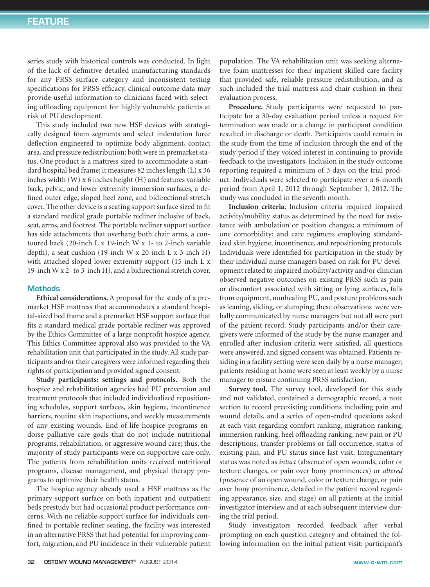series study with historical controls was conducted. In light of the lack of definitive detailed manufacturing standards for any PRSS surface category and inconsistent testing specifications for PRSS efficacy, clinical outcome data may provide useful information to clinicians faced with selecting offloading equipment for highly vulnerable patients at risk of PU development.

This study included two new HSF devices with strategically designed foam segments and select indentation force deflection engineered to optimize body alignment, contact area, and pressure redistribution; both were in premarket status. One product is a mattress sized to accommodate a standard hospital bed frame; it measures 82 inches length (L) x 36 inches width (W) x 6 inches height (H) and features variable back, pelvic, and lower extremity immersion surfaces, a defined outer edge, sloped heel zone, and bidirectional stretch cover. The other device is a seating support surface sized to fit a standard medical grade portable recliner inclusive of back, seat, arms, and footrest. The portable recliner support surface has side attachments that overhang both chair arms, a contoured back (20-inch L x 19-inch W x 1- to 2-inch variable depth), a seat cushion (19-inch W x 20-inch L x 3-inch H) with attached sloped lower extremity support (15-inch L x 19-inch W x 2- to 3-inch H), and a bidirectional stretch cover.

#### **Methods**

**Ethical considerations.** A proposal for the study of a premarket HSF mattress that accommodates a standard hospital-sized bed frame and a premarket HSF support surface that fits a standard medical grade portable recliner was approved by the Ethics Committee of a large nonprofit hospice agency. This Ethics Committee approval also was provided to the VA rehabilitation unit that participated in the study. All study participants and/or their caregivers were informed regarding their rights of participation and provided signed consent.

**Study participants: settings and protocols.** Both the hospice and rehabilitation agencies had PU prevention and treatment protocols that included individualized repositioning schedules, support surfaces, skin hygiene, incontinence barriers, routine skin inspections, and weekly measurements of any existing wounds. End-of-life hospice programs endorse palliative care goals that do not include nutritional programs, rehabilitation, or aggressive wound care; thus, the majority of study participants were on supportive care only. The patients from rehabilitation units received nutritional programs, disease management, and physical therapy programs to optimize their health status.

The hospice agency already used a HSF mattress as the primary support surface on both inpatient and outpatient beds prestudy but had occasional product performance concerns. With no reliable support surface for individuals confined to portable recliner seating, the facility was interested in an alternative PRSS that had potential for improving comfort, migration, and PU incidence in their vulnerable patient population. The VA rehabilitation unit was seeking alternative foam mattresses for their inpatient skilled care facility that provided safe, reliable pressure redistribution, and as such included the trial mattress and chair cushion in their evaluation process.

**Procedure.** Study participants were requested to participate for a 30-day evaluation period unless a request for termination was made or a change in participant condition resulted in discharge or death. Participants could remain in the study from the time of inclusion through the end of the study period if they voiced interest in continuing to provide feedback to the investigators. Inclusion in the study outcome reporting required a minimum of 3 days on the trial product. Individuals were selected to participate over a 6-month period from April 1, 2012 through September 1, 2012. The study was concluded in the seventh month.

**Inclusion criteria.** Inclusion criteria required impaired activity/mobility status as determined by the need for assistance with ambulation or position changes; a minimum of one comorbidity; and care regimens employing standardized skin hygiene, incontinence, and repositioning protocols. Individuals were identified for participation in the study by their individual nurse managers based on risk for PU development related to impaired mobility/activity and/or clinician observed negative outcomes on existing PRSS such as pain or discomfort associated with sitting or lying surfaces, falls from equipment, nonhealing PU, and posture problems such as leaning, sliding, or slumping; these observations were verbally communicated by nurse managers but not all were part of the patient record. Study participants and/or their caregivers were informed of the study by the nurse manager and enrolled after inclusion criteria were satisfied, all questions were answered, and signed consent was obtained. Patients residing in a facility setting were seen daily by a nurse manager; patients residing at home were seen at least weekly by a nurse manager to ensure continuing PRSS satisfaction.

**Survey tool.** The survey tool, developed for this study and not validated, contained a demographic record, a note section to record preexisting conditions including pain and wound details, and a series of open-ended questions asked at each visit regarding comfort ranking, migration ranking, immersion ranking, heel offloading ranking, new pain or PU descriptions, transfer problems or fall occurrence, status of existing pain, and PU status since last visit. Integumentary status was noted as *intact* (absence of open wounds, color or texture changes, or pain over bony prominences) or *altered*  (presence of an open wound, color or texture change, or pain over bony prominence, detailed in the patient record regarding appearance, size, and stage) on all patients at the initial investigator interview and at each subsequent interview during the trial period.

Study investigators recorded feedback after verbal prompting on each question category and obtained the following information on the initial patient visit: participant's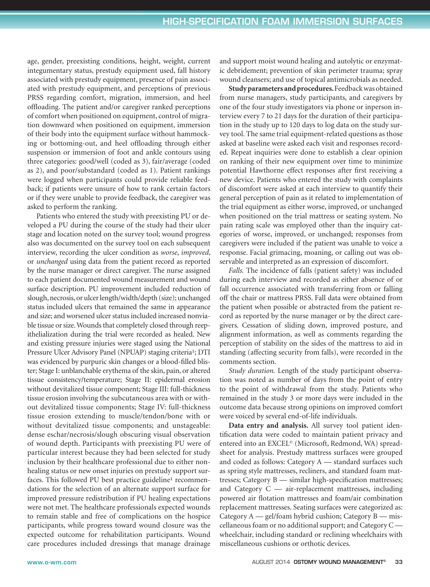age, gender, preexisting conditions, height, weight, current integumentary status, prestudy equipment used, fall history associated with prestudy equipment, presence of pain associated with prestudy equipment, and perceptions of previous PRSS regarding comfort, migration, immersion, and heel offloading. The patient and/or caregiver ranked perceptions of comfort when positioned on equipment, control of migration downward when positioned on equipment, immersion of their body into the equipment surface without hammocking or bottoming-out, and heel offloading through either suspension or immersion of foot and ankle contours using three categories: good/well (coded as 3), fair/average (coded as 2), and poor/substandard (coded as 1). Patient rankings were logged when participants could provide reliable feedback; if patients were unsure of how to rank certain factors or if they were unable to provide feedback, the caregiver was asked to perform the ranking.

Patients who entered the study with preexisting PU or developed a PU during the course of the study had their ulcer stage and location noted on the survey tool; wound progress also was documented on the survey tool on each subsequent interview, recording the ulcer condition as *worse*, *improved*, or *unchanged* using data from the patient record as reported by the nurse manager or direct caregiver. The nurse assigned to each patient documented wound measurement and wound surface description. PU improvement included reduction of slough, necrosis, or ulcer length/width/depth (size); unchanged status included ulcers that remained the same in appearance and size; and worsened ulcer status included increased nonviable tissue or size. Wounds that completely closed through reepithelialization during the trial were recorded as healed. New and existing pressure injuries were staged using the National Pressure Ulcer Advisory Panel (NPUAP) staging criteria<sup>1</sup>; DTI was evidenced by purpuric skin changes or a blood-filled blister; Stage I: unblanchable erythema of the skin, pain, or altered tissue consistency/temperature; Stage II: epidermal erosion without devitalized tissue component; Stage III: full-thickness tissue erosion involving the subcutaneous area with or without devitalized tissue components; Stage IV: full-thickness tissue erosion extending to muscle/tendon/bone with or without devitalized tissue components; and unstageable: dense eschar/necrosis/slough obscuring visual observation of wound depth. Participants with preexisting PU were of particular interest because they had been selected for study inclusion by their healthcare professional due to either nonhealing status or new onset injuries on prestudy support surfaces. This followed PU best practice guideline<sup>1</sup> recommendations for the selection of an alternate support surface for improved pressure redistribution if PU healing expectations were not met. The healthcare professionals expected wounds to remain stable and free of complications on the hospice participants, while progress toward wound closure was the expected outcome for rehabilitation participants. Wound care procedures included dressings that manage drainage

and support moist wound healing and autolytic or enzymatic debridement; prevention of skin perimeter trauma; spray wound cleansers; and use of topical antimicrobials as needed.

**Study parameters and procedures.** Feedback was obtained from nurse managers, study participants, and caregivers by one of the four study investigators via phone or inperson interview every 7 to 21 days for the duration of their participation in the study up to 120 days to log data on the study survey tool. The same trial equipment-related questions as those asked at baseline were asked each visit and responses recorded. Repeat inquiries were done to establish a clear opinion on ranking of their new equipment over time to minimize potential Hawthorne effect responses after first receiving a new device. Patients who entered the study with complaints of discomfort were asked at each interview to quantify their general perception of pain as it related to implementation of the trial equipment as either worse, improved, or unchanged when positioned on the trial mattress or seating system. No pain rating scale was employed other than the inquiry categories of worse, improved, or unchanged; responses from caregivers were included if the patient was unable to voice a response. Facial grimacing, moaning, or calling out was observable and interpreted as an expression of discomfort.

*Falls.* The incidence of falls (patient safety) was included during each interview and recorded as either absence of or fall occurrence associated with transferring from or falling off the chair or mattress PRSS. Fall data were obtained from the patient when possible or abstracted from the patient record as reported by the nurse manager or by the direct caregivers. Cessation of sliding down, improved posture, and alignment information, as well as comments regarding the perception of stability on the sides of the mattress to aid in standing (affecting security from falls), were recorded in the comments section.

*Study duration.* Length of the study participant observation was noted as number of days from the point of entry to the point of withdrawal from the study. Patients who remained in the study 3 or more days were included in the outcome data because strong opinions on improved comfort were voiced by several end-of-life individuals.

**Data entry and analysis.** All survey tool patient identification data were coded to maintain patient privacy and entered into an EXCEL<sup>®</sup> (Microsoft, Redmond, WA) spreadsheet for analysis. Prestudy mattress surfaces were grouped and coded as follows: Category A — standard surfaces such as spring style mattresses, recliners, and standard foam mattresses; Category B — similar high-specification mattresses; and Category C — air-replacement mattresses, including powered air flotation mattresses and foam/air combination replacement mattresses. Seating surfaces were categorized as: Category A — gel/foam hybrid cushion; Category B — miscellaneous foam or no additional support; and Category C wheelchair, including standard or reclining wheelchairs with miscellaneous cushions or orthotic devices.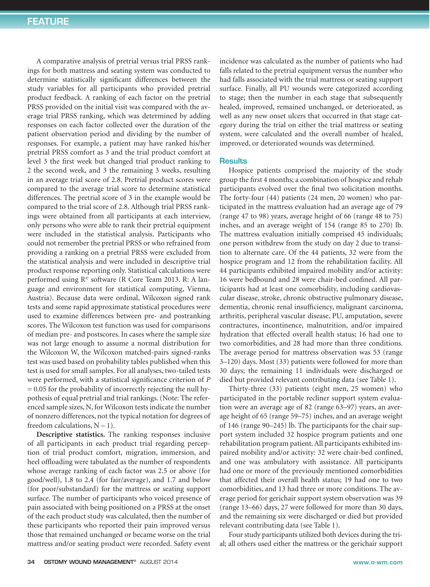A comparative analysis of pretrial versus trial PRSS rankings for both mattress and seating system was conducted to determine statistically significant differences between the study variables for all participants who provided pretrial product feedback. A ranking of each factor on the pretrial PRSS provided on the initial visit was compared with the average trial PRSS ranking, which was determined by adding responses on each factor collected over the duration of the patient observation period and dividing by the number of responses. For example, a patient may have ranked his/her pretrial PRSS comfort as 3 and the trial product comfort at level 3 the first week but changed trial product ranking to 2 the second week, and 3 the remaining 3 weeks, resulting in an average trial score of 2.8. Pretrial product scores were compared to the average trial score to determine statistical differences. The pretrial score of 3 in the example would be compared to the trial score of 2.8. Although trial PRSS rankings were obtained from all participants at each interview, only persons who were able to rank their pretrial equipment were included in the statistical analysis. Participants who could not remember the pretrial PRSS or who refrained from providing a ranking on a pretrial PRSS were excluded from the statistical analysis and were included in descriptive trial product response reporting only. Statistical calculations were performed using R<sup>®</sup> software (R Core Team 2013. R: A language and environment for statistical computing, Vienna, Austria). Because data were ordinal, Wilcoxon signed rank tests and some rapid approximate statistical procedures were used to examine differences between pre- and postranking scores. The Wilcoxon test function was used for comparisons of median pre- and postscores. In cases where the sample size was not large enough to assume a normal distribution for the Wilcoxon W, the Wilcoxon matched-pairs signed-ranks test was used based on probability tables published when this test is used for small samples. For all analyses, two-tailed tests were performed, with a statistical significance criterion of *P* = 0.05 for the probability of incorrectly rejecting the null hypothesis of equal pretrial and trial rankings. (Note: The referenced sample sizes, N, for Wilcoxon tests indicate the number of nonzero differences, not the typical notation for degrees of freedom calculations,  $N - 1$ ).

**Descriptive statistics.** The ranking responses inclusive of all participants in each product trial regarding perception of trial product comfort, migration, immersion, and heel offloading were tabulated as the number of respondents whose average ranking of each factor was 2.5 or above (for good/well), 1.8 to 2.4 (for fair/average), and 1.7 and below (for poor/substandard) for the mattress or seating support surface. The number of participants who voiced presence of pain associated with being positioned on a PRSS at the onset of the each product study was calculated, then the number of these participants who reported their pain improved versus those that remained unchanged or became worse on the trial mattress and/or seating product were recorded. Safety event incidence was calculated as the number of patients who had falls related to the pretrial equipment versus the number who had falls associated with the trial mattress or seating support surface. Finally, all PU wounds were categorized according to stage; then the number in each stage that subsequently healed, improved, remained unchanged, or deteriorated, as well as any new onset ulcers that occurred in that stage category during the trial on either the trial mattress or seating system, were calculated and the overall number of healed, improved, or deteriorated wounds was determined.

## **Results**

Hospice patients comprised the majority of the study group the first 4 months; a combination of hospice and rehab participants evolved over the final two solicitation months. The forty-four (44) patients (24 men, 20 women) who participated in the mattress evaluation had an average age of 79 (range 47 to 98) years, average height of 66 (range 48 to 75) inches, and an average weight of 154 (range 85 to 270) lb. The mattress evaluation initially comprised 45 individuals; one person withdrew from the study on day 2 due to transition to alternate care. Of the 44 patients, 32 were from the hospice program and 12 from the rehabilitation facility. All 44 participants exhibited impaired mobility and/or activity: 16 were bedbound and 28 were chair-bed confined. All participants had at least one comorbidity, including cardiovascular disease, stroke, chronic obstructive pulmonary disease, dementia, chronic renal insufficiency, malignant carcinoma, arthritis, peripheral vascular disease, PU, amputation, severe contractures, incontinence, malnutrition, and/or impaired hydration that effected overall health status; 16 had one to two comorbidities, and 28 had more than three conditions. The average period for mattress observation was 53 (range 3–120) days. Most (33) patients were followed for more than 30 days; the remaining 11 individuals were discharged or died but provided relevant contributing data (see Table 1).

Thirty-three (33) patients (eight men, 25 women) who participated in the portable recliner support system evaluation were an average age of 82 (range 63–97) years, an average height of 65 (range 59–75) inches, and an average weight of 146 (range 90–245) lb. The participants for the chair support system included 32 hospice program patients and one rehabilitation program patient. All participants exhibited impaired mobility and/or activity: 32 were chair-bed confined, and one was ambulatory with assistance. All participants had one or more of the previously mentioned comorbidities that affected their overall health status; 19 had one to two comorbidities, and 13 had three or more conditions. The average period for gerichair support system observation was 39 (range 13–66) days, 27 were followed for more than 30 days, and the remaining six were discharged or died but provided relevant contributing data (see Table 1).

Four study participants utilized both devices during the trial; all others used either the mattress or the gerichair support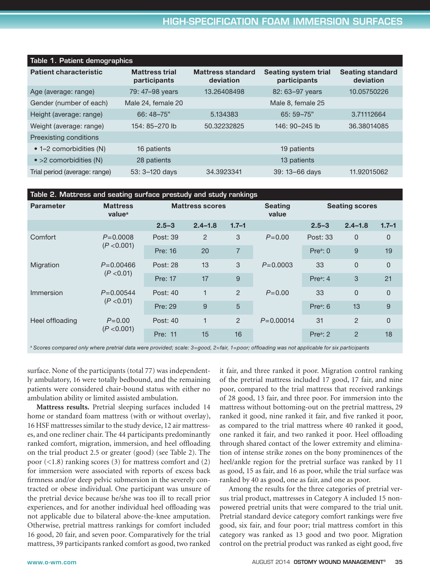| Table 1. Patient demographics   |                                       |                                       |                                             |                                      |  |  |
|---------------------------------|---------------------------------------|---------------------------------------|---------------------------------------------|--------------------------------------|--|--|
| <b>Patient characteristic</b>   | <b>Mattress trial</b><br>participants | <b>Mattress standard</b><br>deviation | <b>Seating system trial</b><br>participants | <b>Seating standard</b><br>deviation |  |  |
| Age (average: range)            | 79: 47-98 years                       | 13.26408498                           | 82: 63-97 years                             | 10.05750226                          |  |  |
| Gender (number of each)         | Male 24, female 20                    |                                       | Male 8, female 25                           |                                      |  |  |
| Height (average: range)         | 66: 48-75"                            | 5.134383                              | $65:59 - 75"$                               | 3.71112664                           |  |  |
| Weight (average: range)         | 154: 85-270 lb                        | 50.32232825                           | 146: 90-245 lb                              | 36.38014085                          |  |  |
| Preexisting conditions          |                                       |                                       |                                             |                                      |  |  |
| $\bullet$ 1–2 comorbidities (N) | 16 patients                           |                                       | 19 patients                                 |                                      |  |  |
| $\bullet$ >2 comorbidities (N)  | 28 patients                           |                                       | 13 patients                                 |                                      |  |  |
| Trial period (average: range)   | 53: 3-120 days                        | 34.3923341                            | 39: 13-66 days                              | 11.92015062                          |  |  |

### Table 2. Mattress and seating surface prestudy and study rankings

| <b>Parameter</b> | <b>Mattress</b><br>value <sup>a</sup> | <b>Mattress scores</b> |              |                | <b>Seating</b><br>value | <b>Seating scores</b> |                |           |
|------------------|---------------------------------------|------------------------|--------------|----------------|-------------------------|-----------------------|----------------|-----------|
|                  |                                       | $2.5 - 3$              | $2.4 - 1.8$  | $1.7 - 1$      |                         | $2.5 - 3$             | $2.4 - 1.8$    | $1.7 - 1$ |
| Comfort          | $P = 0.0008$<br>(P < 0.001)           | Post: 39               | 2            | 3              | $P = 0.00$              | Post: 33              | $\mathbf 0$    | 0         |
|                  |                                       | Pre: 16                | 20           | $\overline{7}$ |                         | Pre <sup>a</sup> : 0  | 9              | 19        |
| Migration        | $P = 0.00466$<br>(P < 0.01)           | Post: 28               | 13           | 3              | $P = 0.0003$            | 33                    | $\mathbf 0$    | 0         |
|                  |                                       | Pre: 17                | 17           | 9              |                         | Pre <sup>a</sup> : 4  | 3              | 21        |
| Immersion        | $P = 0.00544$                         | Post: 40               | $\mathbf{1}$ | 2              | $P = 0.00$              | 33                    | $\mathbf 0$    | 0         |
|                  | (P < 0.01)                            | Pre: 29                | 9            | 5              |                         | Pre $a: 6$            | 13             | 9         |
| Heel offloading  | $P = 0.00$                            | Post: 40               | $\mathbf{1}$ | 2              | $P = 0.00014$           | 31                    | 2              | 0         |
|                  | (P < 0.001)                           | Pre: 11                | 15           | 16             |                         | Pre <sup>a</sup> : 2  | $\overline{2}$ | 18        |

*a Scores compared only where pretrial data were provided; scale: 3=good, 2=fair, 1=poor; offloading was not applicable for six participants*

surface. None of the participants (total 77) was independently ambulatory, 16 were totally bedbound, and the remaining patients were considered chair-bound status with either no ambulation ability or limited assisted ambulation.

**Mattress results.** Pretrial sleeping surfaces included 14 home or standard foam mattress (with or without overlay), 16 HSF mattresses similar to the study device, 12 air mattresses, and one recliner chair. The 44 participants predominantly ranked comfort, migration, immersion, and heel offloading on the trial product 2.5 or greater (good) (see Table 2). The poor  $(\leq1.8)$  ranking scores (3) for mattress comfort and (2) for immersion were associated with reports of excess back firmness and/or deep pelvic submersion in the severely contracted or obese individual. One participant was unsure of the pretrial device because he/she was too ill to recall prior experiences, and for another individual heel offloading was not applicable due to bilateral above-the-knee amputation. Otherwise, pretrial mattress rankings for comfort included 16 good, 20 fair, and seven poor. Comparatively for the trial mattress, 39 participants ranked comfort as good, two ranked

it fair, and three ranked it poor. Migration control ranking of the pretrial mattress included 17 good, 17 fair, and nine poor, compared to the trial mattress that received rankings of 28 good, 13 fair, and three poor. For immersion into the mattress without bottoming-out on the pretrial mattress, 29 ranked it good, nine ranked it fair, and five ranked it poor, as compared to the trial mattress where 40 ranked it good, one ranked it fair, and two ranked it poor. Heel offloading through shared contact of the lower extremity and elimination of intense strike zones on the bony prominences of the heel/ankle region for the pretrial surface was ranked by 11 as good, 15 as fair, and 16 as poor, while the trial surface was ranked by 40 as good, one as fair, and one as poor.

Among the results for the three categories of pretrial versus trial product, mattresses in Category A included 15 nonpowered pretrial units that were compared to the trial unit. Pretrial standard device category comfort rankings were five good, six fair, and four poor; trial mattress comfort in this category was ranked as 13 good and two poor. Migration control on the pretrial product was ranked as eight good, five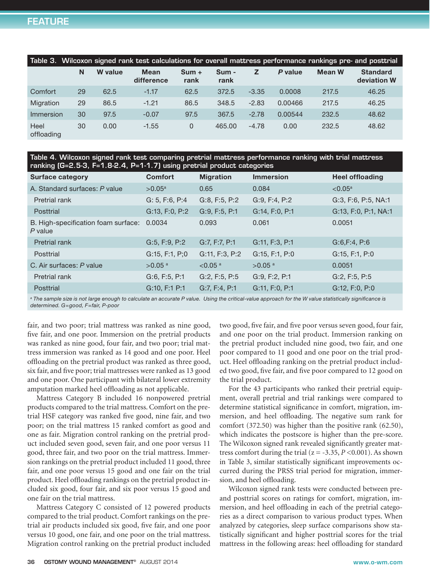|                    |    |         |                           |                 |               |         |         |               | Table 3. Wilcoxon signed rank test calculations for overall mattress performance rankings pre- and posttrial |
|--------------------|----|---------|---------------------------|-----------------|---------------|---------|---------|---------------|--------------------------------------------------------------------------------------------------------------|
|                    | N  | W value | <b>Mean</b><br>difference | $Sum +$<br>rank | Sum -<br>rank | z       | P value | <b>Mean W</b> | <b>Standard</b><br>deviation W                                                                               |
| Comfort            | 29 | 62.5    | $-1.17$                   | 62.5            | 372.5         | $-3.35$ | 0.0008  | 217.5         | 46.25                                                                                                        |
| Migration          | 29 | 86.5    | $-1.21$                   | 86.5            | 348.5         | $-2.83$ | 0.00466 | 217.5         | 46.25                                                                                                        |
| Immersion          | 30 | 97.5    | $-0.07$                   | 97.5            | 367.5         | $-2.78$ | 0.00544 | 232.5         | 48.62                                                                                                        |
| Heel<br>offloading | 30 | 0.00    | $-1.55$                   | 0               | 465.00        | $-4.78$ | 0.00    | 232.5         | 48.62                                                                                                        |

Table 4. Wilcoxon signed rank test comparing pretrial mattress performance ranking with trial mattress ranking (G=2.5-3, F=1.8-2.4, P=1-1.7) using pretrial product categories

| <b>Surface category</b>                               | <b>Comfort</b>       | <b>Migration</b>      | <b>Immersion</b>     | <b>Heel offloading</b> |
|-------------------------------------------------------|----------------------|-----------------------|----------------------|------------------------|
| A. Standard surfaces: P value                         | $>0.05^{\text{a}}$   | 0.65                  | 0.084                | $< 0.05^{\text{a}}$    |
| Pretrial rank                                         | G: 5, F:6, P:4       | G:8, F:5, P:2         | G:9, F:4, P:2        | G:3, F:6, P:5, NA:1    |
| Posttrial                                             | G:13, F:0, P:2       | G:9, F:5, P:1         | G:14, F:0, P:1       | G:13, F:0, P:1, NA:1   |
| B. High-specification foam surface: 0.0034<br>P value |                      | 0.093                 | 0.061                | 0.0051                 |
| Pretrial rank                                         | G:5, F:9, P:2        | G:7, F:7, P:1         | G:11, F:3, P:1       | G:6, F:4, P:6          |
| Posttrial                                             | G:15, F:1, P;0       | G:11, F:3, P:2        | G:15, F:1, P:0       | G:15, F:1, P:0         |
| C. Air surfaces: P value                              | $>0.05$ <sup>a</sup> | $< 0.05$ <sup>a</sup> | $>0.05$ <sup>a</sup> | 0.0051                 |
| Pretrial rank                                         | G:6, F:5, P:1        | G:2, F:5, P:5         | G:9, F:2, P:1        | G:2, F:5, P:5          |
| Posttrial                                             | G:10, F:1 P:1        | G:7, F:4, P:1         | G:11, F:0, P:1       | G:12, F:0, P:0         |
|                                                       |                      |                       |                      |                        |

*a The sample size is not large enough to calculate an accurate P value. Using the critical-value approach for the W value statistically significance is determined. G=good, F=fair, P-poor*

fair, and two poor; trial mattress was ranked as nine good, five fair, and one poor. Immersion on the pretrial products was ranked as nine good, four fair, and two poor; trial mattress immersion was ranked as 14 good and one poor. Heel offloading on the pretrial product was ranked as three good, six fair, and five poor; trial mattresses were ranked as 13 good and one poor. One participant with bilateral lower extremity amputation marked heel offloading as not applicable.

Mattress Category B included 16 nonpowered pretrial products compared to the trial mattress. Comfort on the pretrial HSF category was ranked five good, nine fair, and two poor; on the trial mattress 15 ranked comfort as good and one as fair. Migration control ranking on the pretrial product included seven good, seven fair, and one poor versus 11 good, three fair, and two poor on the trial mattress. Immersion rankings on the pretrial product included 11 good, three fair, and one poor versus 15 good and one fair on the trial product. Heel offloading rankings on the pretrial product included six good, four fair, and six poor versus 15 good and one fair on the trial mattress.

Mattress Category C consisted of 12 powered products compared to the trial product. Comfort rankings on the pretrial air products included six good, five fair, and one poor versus 10 good, one fair, and one poor on the trial mattress. Migration control ranking on the pretrial product included two good, five fair, and five poor versus seven good, four fair, and one poor on the trial product. Immersion ranking on the pretrial product included nine good, two fair, and one poor compared to 11 good and one poor on the trial product. Heel offloading ranking on the pretrial product included two good, five fair, and five poor compared to 12 good on the trial product.

For the 43 participants who ranked their pretrial equipment, overall pretrial and trial rankings were compared to determine statistical significance in comfort, migration, immersion, and heel offloading. The negative sum rank for comfort (372.50) was higher than the positive rank (62.50), which indicates the postscore is higher than the pre-score. The Wilcoxon signed rank revealed significantly greater mattress comfort during the trial  $(z = -3.35, P \le 0.001)$ . As shown in Table 3, similar statistically significant improvements occurred during the PRSS trial period for migration, immersion, and heel offloading.

Wilcoxon signed rank tests were conducted between preand posttrial scores on ratings for comfort, migration, immersion, and heel offloading in each of the pretrial categories as a direct comparison to various product types. When analyzed by categories, sleep surface comparisons show statistically significant and higher posttrial scores for the trial mattress in the following areas: heel offloading for standard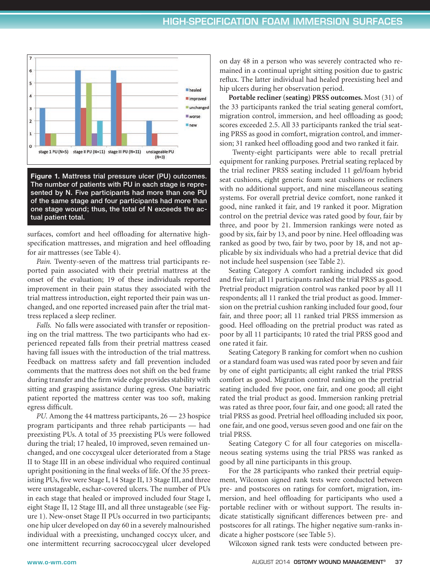

**Figure 1.** Mattress trial pressure ulcer (PU) outcomes. The number of patients with PU in each stage is represented by N. Five participants had more than one PU of the same stage and four participants had more than one stage wound; thus, the total of N exceeds the actual patient total.

surfaces, comfort and heel offloading for alternative highspecification mattresses, and migration and heel offloading for air mattresses (see Table 4).

*Pain.* Twenty-seven of the mattress trial participants reported pain associated with their pretrial mattress at the onset of the evaluation; 19 of these individuals reported improvement in their pain status they associated with the trial mattress introduction, eight reported their pain was unchanged, and one reported increased pain after the trial mattress replaced a sleep recliner.

*Falls.* No falls were associated with transfer or repositioning on the trial mattress. The two participants who had experienced repeated falls from their pretrial mattress ceased having fall issues with the introduction of the trial mattress. Feedback on mattress safety and fall prevention included comments that the mattress does not shift on the bed frame during transfer and the firm wide edge provides stability with sitting and grasping assistance during egress. One bariatric patient reported the mattress center was too soft, making egress difficult.

*PU.* Among the 44 mattress participants, 26 — 23 hospice program participants and three rehab participants — had preexisting PUs. A total of 35 preexisting PUs were followed during the trial; 17 healed, 10 improved, seven remained unchanged, and one coccyxgeal ulcer deteriorated from a Stage II to Stage III in an obese individual who required continual upright positioning in the final weeks of life. Of the 35 preexisting PUs, five were Stage I, 14 Stage II, 13 Stage III, and three were unstageable, eschar-covered ulcers. The number of PUs in each stage that healed or improved included four Stage I, eight Stage II, 12 Stage III, and all three unstageable (see Figure 1). New-onset Stage II PUs occurred in two participants; one hip ulcer developed on day 60 in a severely malnourished individual with a preexisting, unchanged coccyx ulcer, and one intermittent recurring sacrococcygeal ulcer developed on day 48 in a person who was severely contracted who remained in a continual upright sitting position due to gastric reflux. The latter individual had healed preexisting heel and hip ulcers during her observation period.

**Portable recliner (seating) PRSS outcomes.** Most (31) of the 33 participants ranked the trial seating general comfort, migration control, immersion, and heel offloading as good; scores exceeded 2.5. All 33 participants ranked the trial seating PRSS as good in comfort, migration control, and immersion; 31 ranked heel offloading good and two ranked it fair.

 Twenty-eight participants were able to recall pretrial equipment for ranking purposes. Pretrial seating replaced by the trial recliner PRSS seating included 11 gel/foam hybrid seat cushions, eight generic foam seat cushions or recliners with no additional support, and nine miscellaneous seating systems. For overall pretrial device comfort, none ranked it good, nine ranked it fair, and 19 ranked it poor. Migration control on the pretrial device was rated good by four, fair by three, and poor by 21. Immersion rankings were noted as good by six, fair by 13, and poor by nine. Heel offloading was ranked as good by two, fair by two, poor by 18, and not applicable by six individuals who had a pretrial device that did not include heel suspension (see Table 2).

Seating Category A comfort ranking included six good and five fair; all 11 participants ranked the trial PRSS as good. Pretrial product migration control was ranked poor by all 11 respondents; all 11 ranked the trial product as good. Immersion on the pretrial cushion ranking included four good, four fair, and three poor; all 11 ranked trial PRSS immersion as good. Heel offloading on the pretrial product was rated as poor by all 11 participants; 10 rated the trial PRSS good and one rated it fair.

Seating Category B ranking for comfort when no cushion or a standard foam was used was rated poor by seven and fair by one of eight participants; all eight ranked the trial PRSS comfort as good. Migration control ranking on the pretrial seating included five poor, one fair, and one good; all eight rated the trial product as good. Immersion ranking pretrial was rated as three poor, four fair, and one good; all rated the trial PRSS as good. Pretrial heel offloading included six poor, one fair, and one good, versus seven good and one fair on the trial PRSS.

Seating Category C for all four categories on miscellaneous seating systems using the trial PRSS was ranked as good by all nine participants in this group.

For the 28 participants who ranked their pretrial equipment, Wilcoxon signed rank tests were conducted between pre- and postscores on ratings for comfort, migration, immersion, and heel offloading for participants who used a portable recliner with or without support. The results indicate statistically significant differences between pre- and postscores for all ratings. The higher negative sum-ranks indicate a higher postscore (see Table 5).

Wilcoxon signed rank tests were conducted between pre-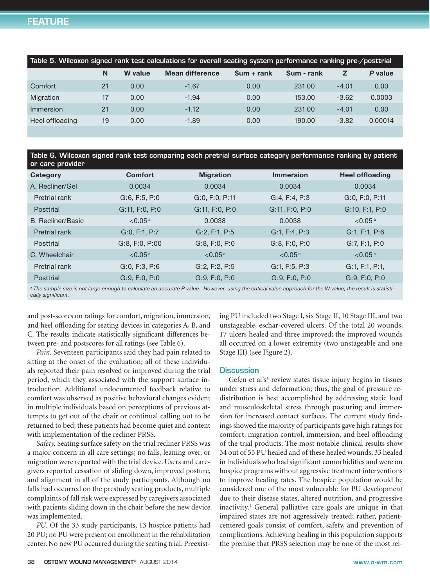| Table 5. Wilcoxon signed rank test calculations for overall seating system performance ranking pre-/posttrial |    |         |                        |              |            |         |         |
|---------------------------------------------------------------------------------------------------------------|----|---------|------------------------|--------------|------------|---------|---------|
|                                                                                                               | N  | W value | <b>Mean difference</b> | $Sum + rank$ | Sum - rank | z       | P value |
| Comfort                                                                                                       | 21 | 0.00    | $-1.67$                | 0.00         | 231.00     | $-4.01$ | 0.00    |
| Migration                                                                                                     | 17 | 0.00    | $-1.94$                | 0.00         | 153.00     | $-3.62$ | 0.0003  |
| Immersion                                                                                                     | 21 | 0.00    | $-1.12$                | 0.00         | 231.00     | $-4.01$ | 0.00    |
| Heel offloading                                                                                               | 19 | 0.00    | $-1.89$                | 0.00         | 190.00     | $-3.82$ | 0.00014 |
|                                                                                                               |    |         |                        |              |            |         |         |

Table 6. Wilcoxon signed rank test comparing each pretrial surface category performance ranking by patient or care provider

| 0.0034<br>0.0034                               |
|------------------------------------------------|
| G:4, F:4, P:3<br>G:0, F:0, P:11                |
| G:10, F:1, P:0<br>G:11, F:0, P:0               |
| 0.0038<br>< 0.05a                              |
| G:1, F:4, P:3<br>G:1, F:1, P:6                 |
| G:8, F:0, P:0<br>G:7, F:1, P:0                 |
| $< 0.05$ <sup>a</sup><br>$< 0.05$ <sup>a</sup> |
| G:1, F:5, P:3<br>G:1, F:1, P:1,                |
| G:9, F:0, P:0<br>G:9, F:0, P:0                 |
|                                                |

*a The sample size is not large enough to calculate an accurate P value. However, using the critical value approach for the W value, the result is statistically significant.*

and post-scores on ratings for comfort, migration, immersion, and heel offloading for seating devices in categories A, B, and C. The results indicate statistically significant differences between pre- and postscores for all ratings (see Table 6).

*Pain.* Seventeen participants said they had pain related to sitting at the onset of the evaluation; all of these individuals reported their pain resolved or improved during the trial period, which they associated with the support surface introduction. Additional undocumented feedback relative to comfort was observed as positive behavioral changes evident in multiple individuals based on perceptions of previous attempts to get out of the chair or continual calling out to be returned to bed; these patients had become quiet and content with implementation of the recliner PRSS.

*Safety.* Seating surface safety on the trial recliner PRSS was a major concern in all care settings; no falls, leaning over, or migration were reported with the trial device. Users and caregivers reported cessation of sliding down, improved posture, and alignment in all of the study participants. Although no falls had occurred on the prestudy seating products, multiple complaints of fall risk were expressed by caregivers associated with patients sliding down in the chair before the new device was implemented.

*PU.* Of the 33 study participants, 13 hospice patients had 20 PU; no PU were present on enrollment in the rehabilitation center. No new PU occurred during the seating trial. Preexisting PU included two Stage I, six Stage II, 10 Stage III, and two unstageable, eschar-covered ulcers. Of the total 20 wounds, 17 ulcers healed and three improved; the improved wounds all occurred on a lower extremity (two unstageable and one Stage III) (see Figure 2).

#### **Discussion**

Gefen et al's<sup>3</sup> review states tissue injury begins in tissues under stress and deformation; thus, the goal of pressure redistribution is best accomplished by addressing static load and musculoskeletal stress through posturing and immersion for increased contact surfaces. The current study findings showed the majority of participants gave high ratings for comfort, migration control, immersion, and heel offloading of the trial products. The most notable clinical results show 34 out of 55 PU healed and of these healed wounds, 33 healed in individuals who had significant comorbidities and were on hospice programs without aggressive treatment interventions to improve healing rates. The hospice population would be considered one of the most vulnerable for PU development due to their disease states, altered nutrition, and progressive inactivity.<sup>1</sup> General palliative care goals are unique in that impaired states are not aggressively treated; rather, patientcentered goals consist of comfort, safety, and prevention of complications. Achieving healing in this population supports the premise that PRSS selection may be one of the most rel-